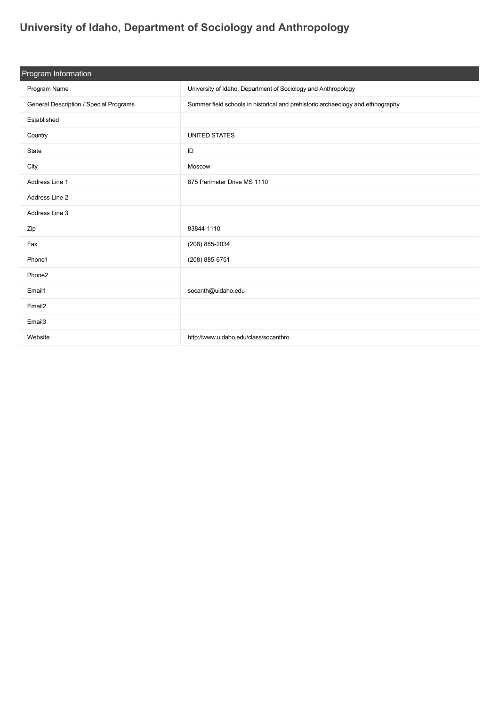## **[University of Idaho, Department of Sociology and Anthropology](https://guide.americananthro.org/313/University-of-Idaho-Department-of-Sociology-and-Anthropology)**

| Program Information                    |                                                                                |  |  |
|----------------------------------------|--------------------------------------------------------------------------------|--|--|
| Program Name                           | University of Idaho, Department of Sociology and Anthropology                  |  |  |
| General Description / Special Programs | Summer field schools in historical and prehistoric archaeology and ethnography |  |  |
| Established                            |                                                                                |  |  |
| Country                                | <b>UNITED STATES</b>                                                           |  |  |
| State                                  | ID                                                                             |  |  |
| City                                   | Moscow                                                                         |  |  |
| Address Line 1                         | 875 Perimeter Drive MS 1110                                                    |  |  |
| Address Line 2                         |                                                                                |  |  |
| Address Line 3                         |                                                                                |  |  |
| Zip                                    | 83844-1110                                                                     |  |  |
| Fax                                    | (208) 885-2034                                                                 |  |  |
| Phone1                                 | (208) 885-6751                                                                 |  |  |
| Phone2                                 |                                                                                |  |  |
| Email1                                 | socanth@uidaho.edu                                                             |  |  |
| Email <sub>2</sub>                     |                                                                                |  |  |
| Email3                                 |                                                                                |  |  |
| Website                                | http://www.uidaho.edu/class/socanthro                                          |  |  |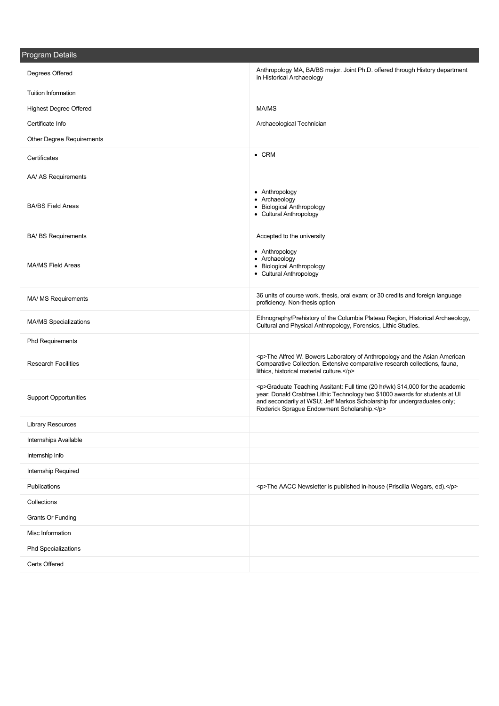| <b>Program Details</b>        |                                                                                                                                                                                                                                                                                             |
|-------------------------------|---------------------------------------------------------------------------------------------------------------------------------------------------------------------------------------------------------------------------------------------------------------------------------------------|
| Degrees Offered               | Anthropology MA, BA/BS major. Joint Ph.D. offered through History department<br>in Historical Archaeology                                                                                                                                                                                   |
| <b>Tuition Information</b>    |                                                                                                                                                                                                                                                                                             |
| <b>Highest Degree Offered</b> | MA/MS                                                                                                                                                                                                                                                                                       |
| Certificate Info              | Archaeological Technician                                                                                                                                                                                                                                                                   |
| Other Degree Requirements     |                                                                                                                                                                                                                                                                                             |
| Certificates                  | $\bullet$ CRM                                                                                                                                                                                                                                                                               |
| AA/ AS Requirements           |                                                                                                                                                                                                                                                                                             |
| <b>BA/BS Field Areas</b>      | • Anthropology<br>• Archaeology<br>• Biological Anthropology<br>• Cultural Anthropology                                                                                                                                                                                                     |
| <b>BA/ BS Requirements</b>    | Accepted to the university                                                                                                                                                                                                                                                                  |
| <b>MA/MS Field Areas</b>      | • Anthropology<br>• Archaeology<br>• Biological Anthropology<br>• Cultural Anthropology                                                                                                                                                                                                     |
| MA/ MS Requirements           | 36 units of course work, thesis, oral exam; or 30 credits and foreign language<br>proficiency. Non-thesis option                                                                                                                                                                            |
| <b>MA/MS Specializations</b>  | Ethnography/Prehistory of the Columbia Plateau Region, Historical Archaeology,<br>Cultural and Physical Anthropology, Forensics, Lithic Studies.                                                                                                                                            |
| <b>Phd Requirements</b>       |                                                                                                                                                                                                                                                                                             |
| <b>Research Facilities</b>    | <p>The Alfred W. Bowers Laboratory of Anthropology and the Asian American<br/>Comparative Collection. Extensive comparative research collections, fauna,<br/>lithics, historical material culture.</p>                                                                                      |
| <b>Support Opportunities</b>  | <p>Graduate Teaching Assitant: Full time (20 hr/wk) \$14,000 for the academic<br/>year; Donald Crabtree Lithic Technology two \$1000 awards for students at UI<br/>and secondarily at WSU; Jeff Markos Scholarship for undergraduates only;<br/>Roderick Sprague Endowment Scholarship.</p> |
| <b>Library Resources</b>      |                                                                                                                                                                                                                                                                                             |
| <b>Internships Available</b>  |                                                                                                                                                                                                                                                                                             |
| Internship Info               |                                                                                                                                                                                                                                                                                             |
| Internship Required           |                                                                                                                                                                                                                                                                                             |
| Publications                  | <p>The AACC Newsletter is published in-house (Priscilla Wegars, ed).</p>                                                                                                                                                                                                                    |
| Collections                   |                                                                                                                                                                                                                                                                                             |
| Grants Or Funding             |                                                                                                                                                                                                                                                                                             |
| Misc Information              |                                                                                                                                                                                                                                                                                             |
| <b>Phd Specializations</b>    |                                                                                                                                                                                                                                                                                             |
| Certs Offered                 |                                                                                                                                                                                                                                                                                             |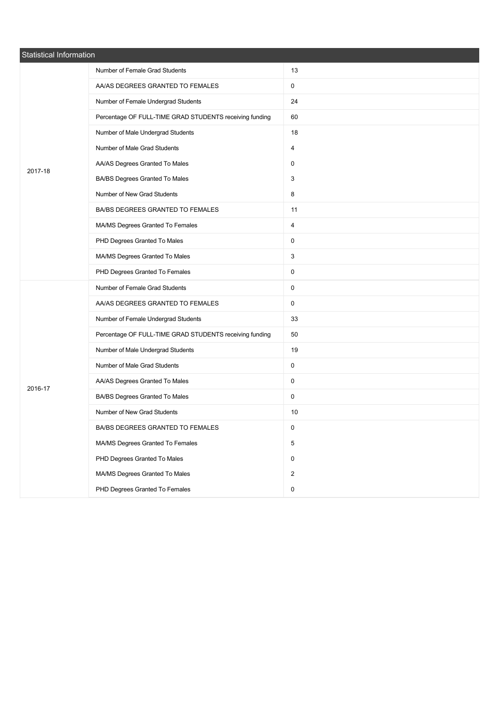| <b>Statistical Information</b> |                                                         |                     |  |
|--------------------------------|---------------------------------------------------------|---------------------|--|
|                                | Number of Female Grad Students                          | 13                  |  |
|                                | AA/AS DEGREES GRANTED TO FEMALES                        | 0                   |  |
|                                | Number of Female Undergrad Students                     | 24                  |  |
|                                | Percentage OF FULL-TIME GRAD STUDENTS receiving funding | 60                  |  |
|                                | Number of Male Undergrad Students                       | 18                  |  |
|                                | Number of Male Grad Students                            | 4                   |  |
| 2017-18                        | AA/AS Degrees Granted To Males                          | 0                   |  |
|                                | BA/BS Degrees Granted To Males                          | 3                   |  |
|                                | Number of New Grad Students                             | 8                   |  |
|                                | BA/BS DEGREES GRANTED TO FEMALES                        | 11                  |  |
|                                | MA/MS Degrees Granted To Females                        | 4                   |  |
|                                | PHD Degrees Granted To Males                            | 0                   |  |
|                                | MA/MS Degrees Granted To Males                          | $\mathbf{3}$        |  |
|                                | PHD Degrees Granted To Females                          | 0                   |  |
|                                | Number of Female Grad Students                          | 0                   |  |
|                                | AA/AS DEGREES GRANTED TO FEMALES                        | 0                   |  |
|                                | Number of Female Undergrad Students                     | 33                  |  |
|                                | Percentage OF FULL-TIME GRAD STUDENTS receiving funding | 50                  |  |
|                                | Number of Male Undergrad Students                       | 19                  |  |
|                                | Number of Male Grad Students                            | 0                   |  |
| 2016-17                        | AA/AS Degrees Granted To Males                          | 0                   |  |
|                                | BA/BS Degrees Granted To Males                          | $\mathsf{O}$        |  |
|                                | Number of New Grad Students                             | 10                  |  |
|                                | BA/BS DEGREES GRANTED TO FEMALES                        | 0                   |  |
|                                | MA/MS Degrees Granted To Females                        | 5                   |  |
|                                | PHD Degrees Granted To Males                            | $\mathsf{O}$        |  |
|                                | MA/MS Degrees Granted To Males                          | $\overline{2}$      |  |
|                                | PHD Degrees Granted To Females                          | $\mathsf{O}\xspace$ |  |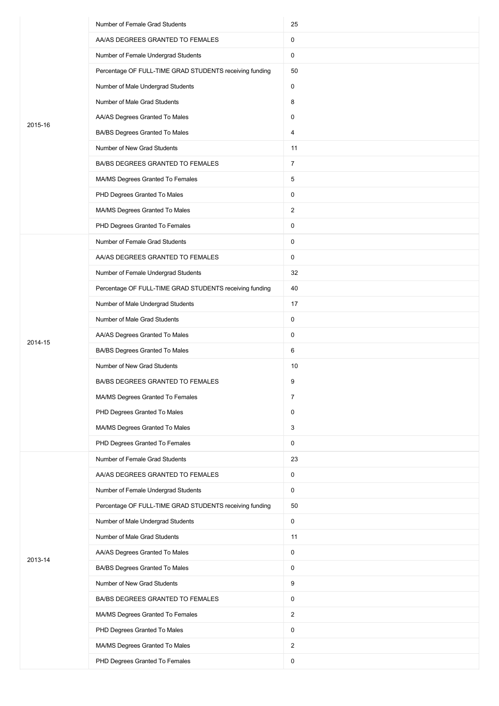|         | Number of Female Grad Students                          | 25             |
|---------|---------------------------------------------------------|----------------|
|         | AA/AS DEGREES GRANTED TO FEMALES                        | 0              |
|         | Number of Female Undergrad Students                     | 0              |
|         | Percentage OF FULL-TIME GRAD STUDENTS receiving funding | 50             |
|         | Number of Male Undergrad Students                       | 0              |
|         | Number of Male Grad Students                            | 8              |
|         | AA/AS Degrees Granted To Males                          | 0              |
| 2015-16 | BA/BS Degrees Granted To Males                          | 4              |
|         | Number of New Grad Students                             | 11             |
|         | BA/BS DEGREES GRANTED TO FEMALES                        | $\overline{7}$ |
|         | MA/MS Degrees Granted To Females                        | 5              |
|         | PHD Degrees Granted To Males                            | 0              |
|         | MA/MS Degrees Granted To Males                          | $\overline{2}$ |
|         | PHD Degrees Granted To Females                          | 0              |
|         | Number of Female Grad Students                          | 0              |
|         | AA/AS DEGREES GRANTED TO FEMALES                        | 0              |
|         | Number of Female Undergrad Students                     | 32             |
|         | Percentage OF FULL-TIME GRAD STUDENTS receiving funding | 40             |
|         | Number of Male Undergrad Students                       | 17             |
|         | Number of Male Grad Students                            | $\mathsf{O}$   |
|         | AA/AS Degrees Granted To Males                          | 0              |
| 2014-15 | BA/BS Degrees Granted To Males                          | 6              |
|         | Number of New Grad Students                             | 10             |
|         | BA/BS DEGREES GRANTED TO FEMALES                        | 9              |
|         | MA/MS Degrees Granted To Females                        | 7              |
|         | PHD Degrees Granted To Males                            | $\mathsf{O}$   |
|         | MA/MS Degrees Granted To Males                          | $\mathbf{3}$   |
|         | PHD Degrees Granted To Females                          | $\mathsf{O}$   |
|         | Number of Female Grad Students                          | 23             |
|         | AA/AS DEGREES GRANTED TO FEMALES                        | $\mathsf{O}$   |
|         | Number of Female Undergrad Students                     | $\mathbf 0$    |
|         | Percentage OF FULL-TIME GRAD STUDENTS receiving funding | 50             |
|         | Number of Male Undergrad Students                       | $\mathsf 0$    |
|         | Number of Male Grad Students                            | 11             |
|         | AA/AS Degrees Granted To Males                          | $\mathsf{O}$   |
| 2013-14 | BA/BS Degrees Granted To Males                          | $\mathsf 0$    |
|         | Number of New Grad Students                             | 9              |
|         | BA/BS DEGREES GRANTED TO FEMALES                        | $\mathsf{O}$   |
|         | MA/MS Degrees Granted To Females                        | $\overline{2}$ |
|         | PHD Degrees Granted To Males                            | $\mathsf{O}$   |
|         | MA/MS Degrees Granted To Males                          | $\overline{2}$ |
|         | PHD Degrees Granted To Females                          | $\mathbf 0$    |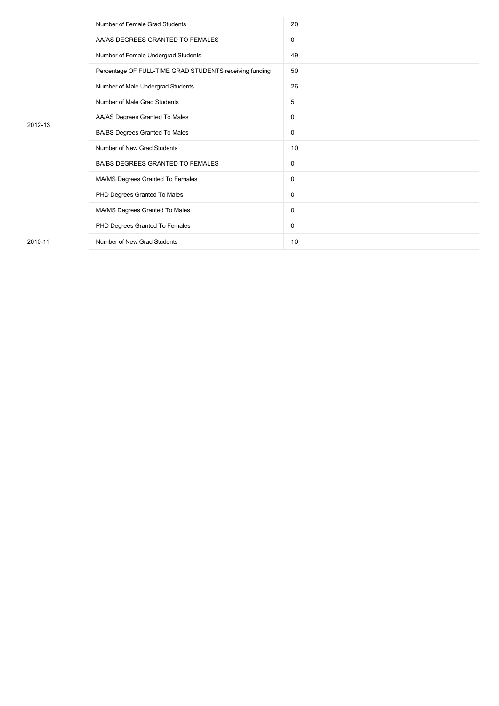|         | Number of Female Grad Students                          | 20 |
|---------|---------------------------------------------------------|----|
|         | AA/AS DEGREES GRANTED TO FEMALES                        | 0  |
|         | Number of Female Undergrad Students                     | 49 |
|         | Percentage OF FULL-TIME GRAD STUDENTS receiving funding | 50 |
| 2012-13 | Number of Male Undergrad Students                       | 26 |
|         | Number of Male Grad Students                            | 5  |
|         | AA/AS Degrees Granted To Males                          | 0  |
|         | BA/BS Degrees Granted To Males                          | 0  |
|         | Number of New Grad Students                             | 10 |
|         | BA/BS DEGREES GRANTED TO FEMALES                        | 0  |
|         | MA/MS Degrees Granted To Females                        | 0  |
|         | PHD Degrees Granted To Males                            | 0  |
|         | MA/MS Degrees Granted To Males                          | 0  |
|         | PHD Degrees Granted To Females                          | 0  |
| 2010-11 | Number of New Grad Students                             | 10 |